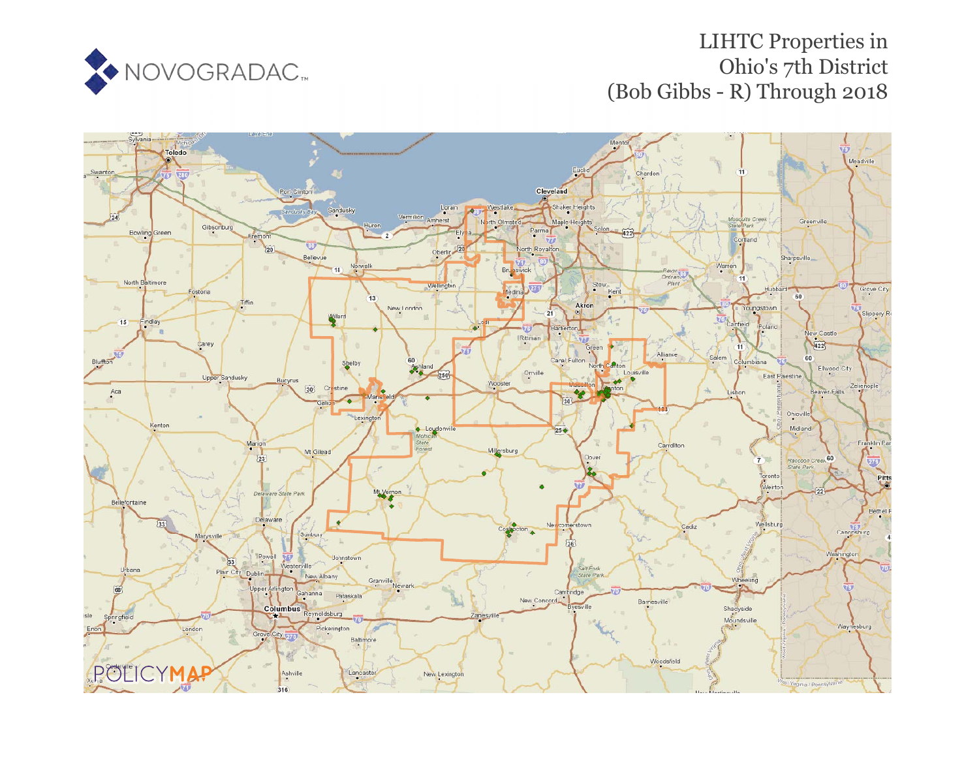

# LIHTC Properties in Ohio's 7th District (Bob Gibbs - R) Through 2018

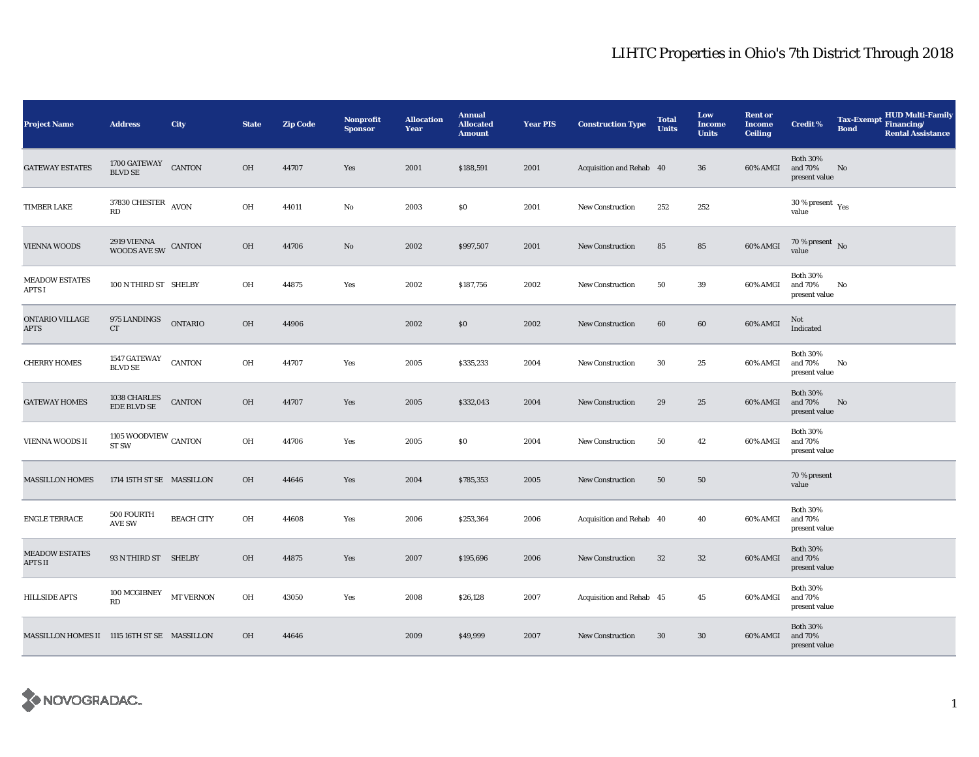| <b>Project Name</b>                          | <b>Address</b>                                    | City              | <b>State</b> | <b>Zip Code</b> | <b>Nonprofit</b><br><b>Sponsor</b> | <b>Allocation</b><br>Year | <b>Annual</b><br><b>Allocated</b><br><b>Amount</b> | <b>Year PIS</b> | <b>Construction Type</b> | <b>Total</b><br><b>Units</b> | Low<br><b>Income</b><br><b>Units</b> | <b>Rent or</b><br><b>Income</b><br><b>Ceiling</b> | Credit %                                             | <b>Tax-Exempt</b><br><b>Bond</b> | HUD Multi-Family<br>Financing/<br><b>Rental Assistance</b> |
|----------------------------------------------|---------------------------------------------------|-------------------|--------------|-----------------|------------------------------------|---------------------------|----------------------------------------------------|-----------------|--------------------------|------------------------------|--------------------------------------|---------------------------------------------------|------------------------------------------------------|----------------------------------|------------------------------------------------------------|
| <b>GATEWAY ESTATES</b>                       | 1700 GATEWAY<br><b>BLVD SE</b>                    | <b>CANTON</b>     | OH           | 44707           | Yes                                | 2001                      | \$188,591                                          | 2001            | Acquisition and Rehab 40 |                              | 36                                   | 60% AMGI                                          | <b>Both 30%</b><br>and 70%<br>present value          | No                               |                                                            |
| <b>TIMBER LAKE</b>                           | 37830 CHESTER $\,$ AVON<br>RD                     |                   | OH           | 44011           | $\mathbf{No}$                      | 2003                      | \$0                                                | 2001            | <b>New Construction</b>  | 252                          | 252                                  |                                                   | 30 % present $\rm\thinspace\gamma_{\rm es}$<br>value |                                  |                                                            |
| <b>VIENNA WOODS</b>                          | $2919$ VIENNA $_{\rm WOODS\;AVE\;SW}$ CANTON      |                   | OH           | 44706           | No                                 | 2002                      | \$997,507                                          | 2001            | <b>New Construction</b>  | 85                           | 85                                   | 60% AMGI                                          | $70$ % present $\,$ No value                         |                                  |                                                            |
| <b>MEADOW ESTATES</b><br><b>APTS I</b>       | 100 N THIRD ST SHELBY                             |                   | OH           | 44875           | Yes                                | 2002                      | \$187,756                                          | 2002            | <b>New Construction</b>  | 50                           | 39                                   | 60% AMGI                                          | <b>Both 30%</b><br>and 70%<br>present value          | No                               |                                                            |
| ONTARIO VILLAGE<br>APTS                      | 975 LANDINGS<br>CT                                | <b>ONTARIO</b>    | OH           | 44906           |                                    | 2002                      | \$0                                                | 2002            | <b>New Construction</b>  | 60                           | 60                                   | 60% AMGI                                          | Not<br>Indicated                                     |                                  |                                                            |
| <b>CHERRY HOMES</b>                          | 1547 GATEWAY<br>BLVD SE                           | <b>CANTON</b>     | OH           | 44707           | Yes                                | 2005                      | \$335,233                                          | 2004            | <b>New Construction</b>  | 30                           | 25                                   | 60% AMGI                                          | <b>Both 30%</b><br>and 70%<br>present value          | No                               |                                                            |
| <b>GATEWAY HOMES</b>                         | $1038$ CHARLES EDE BLVD SE                        | <b>CANTON</b>     | OH           | 44707           | Yes                                | 2005                      | \$332,043                                          | 2004            | <b>New Construction</b>  | 29                           | 25                                   | 60% AMGI                                          | <b>Both 30%</b><br>and 70%<br>present value          | No                               |                                                            |
| <b>VIENNA WOODS II</b>                       | 1105 WOODVIEW $_{\rm CANTON}$<br>ST <sub>SW</sub> |                   | OH           | 44706           | Yes                                | 2005                      | \$0                                                | 2004            | <b>New Construction</b>  | 50                           | 42                                   | 60% AMGI                                          | <b>Both 30%</b><br>and 70%<br>present value          |                                  |                                                            |
| <b>MASSILLON HOMES</b>                       | 1714 15TH ST SE MASSILLON                         |                   | OH           | 44646           | Yes                                | 2004                      | \$785,353                                          | 2005            | <b>New Construction</b>  | 50                           | 50                                   |                                                   | 70 % present<br>value                                |                                  |                                                            |
| <b>ENGLE TERRACE</b>                         | 500 FOURTH<br><b>AVE SW</b>                       | <b>BEACH CITY</b> | OH           | 44608           | Yes                                | 2006                      | \$253,364                                          | 2006            | Acquisition and Rehab 40 |                              | 40                                   | 60% AMGI                                          | <b>Both 30%</b><br>and 70%<br>present value          |                                  |                                                            |
| <b>MEADOW ESTATES</b><br>APTS II             | 93 N THIRD ST SHELBY                              |                   | OH           | 44875           | Yes                                | 2007                      | \$195,696                                          | 2006            | <b>New Construction</b>  | $32\,$                       | $32\,$                               | 60% AMGI                                          | <b>Both 30%</b><br>and 70%<br>present value          |                                  |                                                            |
| <b>HILLSIDE APTS</b>                         | 100 MCGIBNEY<br>RD                                | <b>MT VERNON</b>  | OH           | 43050           | Yes                                | 2008                      | \$26,128                                           | 2007            | Acquisition and Rehab 45 |                              | 45                                   | 60% AMGI                                          | <b>Both 30%</b><br>and 70%<br>present value          |                                  |                                                            |
| MASSILLON HOMES II 1115 16TH ST SE MASSILLON |                                                   |                   | OH           | 44646           |                                    | 2009                      | \$49,999                                           | 2007            | <b>New Construction</b>  | $30\,$                       | $30\,$                               | 60% AMGI                                          | <b>Both 30%</b><br>and 70%<br>present value          |                                  |                                                            |

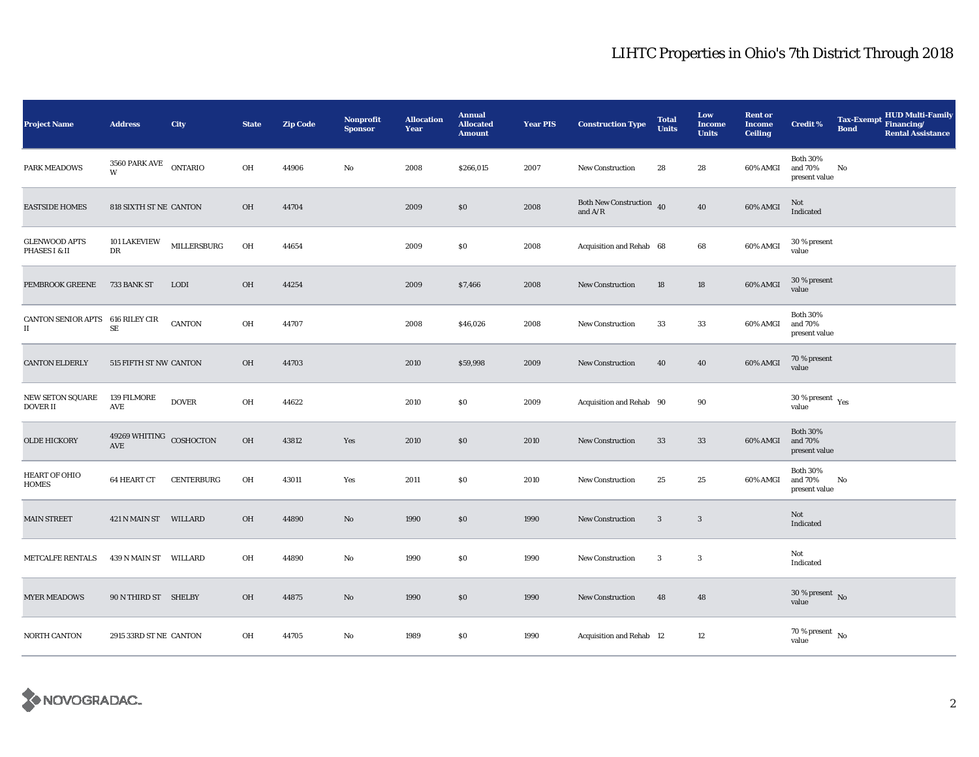| <b>Project Name</b>                                      | <b>Address</b>                 | City              | <b>State</b> | <b>Zip Code</b> | <b>Nonprofit</b><br><b>Sponsor</b> | <b>Allocation</b><br>Year | <b>Annual</b><br><b>Allocated</b><br><b>Amount</b> | <b>Year PIS</b> | <b>Construction Type</b>              | <b>Total</b><br><b>Units</b> | Low<br><b>Income</b><br><b>Units</b> | <b>Rent or</b><br><b>Income</b><br><b>Ceiling</b> | <b>Credit %</b>                              | <b>Tax-Exempt</b><br><b>Bond</b> | HUD Multi-Family<br>Financing/<br><b>Rental Assistance</b> |
|----------------------------------------------------------|--------------------------------|-------------------|--------------|-----------------|------------------------------------|---------------------------|----------------------------------------------------|-----------------|---------------------------------------|------------------------------|--------------------------------------|---------------------------------------------------|----------------------------------------------|----------------------------------|------------------------------------------------------------|
| PARK MEADOWS                                             | 3560 PARK AVE<br>W             | <b>ONTARIO</b>    | OH           | 44906           | $\rm No$                           | 2008                      | \$266,015                                          | 2007            | New Construction                      | 28                           | 28                                   | 60% AMGI                                          | <b>Both 30%</b><br>and 70%<br>present value  | No                               |                                                            |
| <b>EASTSIDE HOMES</b>                                    | 818 SIXTH ST NE CANTON         |                   | OH           | 44704           |                                    | 2009                      | \$0                                                | 2008            | Both New Construction 40<br>and $A/R$ |                              | ${\bf 40}$                           | $60\%$ AMGI                                       | Not<br>Indicated                             |                                  |                                                            |
| <b>GLENWOOD APTS</b><br>PHASES I & II                    | 101 LAKEVIEW<br>DR             | MILLERSBURG       | OH           | 44654           |                                    | 2009                      | \$0                                                | 2008            | Acquisition and Rehab 68              |                              | 68                                   | 60% AMGI                                          | 30 % present<br>value                        |                                  |                                                            |
| <b>PEMBROOK GREENE</b>                                   | 733 BANK ST                    | <b>LODI</b>       | <b>OH</b>    | 44254           |                                    | 2009                      | \$7,466                                            | 2008            | <b>New Construction</b>               | 18                           | 18                                   | 60% AMGI                                          | 30 % present<br>value                        |                                  |                                                            |
| CANTON SENIOR APTS 616 RILEY CIR<br>$\scriptstyle\rm II$ | $\rm SE$                       | CANTON            | OH           | 44707           |                                    | 2008                      | \$46,026                                           | 2008            | New Construction                      | 33                           | 33                                   | 60% AMGI                                          | <b>Both 30%</b><br>and 70%<br>present value  |                                  |                                                            |
| <b>CANTON ELDERLY</b>                                    | 515 FIFTH ST NW CANTON         |                   | OH           | 44703           |                                    | 2010                      | \$59,998                                           | 2009            | New Construction                      | 40                           | 40                                   | 60% AMGI                                          | 70 % present<br>value                        |                                  |                                                            |
| NEW SETON SQUARE<br><b>DOVER II</b>                      | 139 FILMORE<br>AVE             | <b>DOVER</b>      | OH           | 44622           |                                    | 2010                      | \$0                                                | 2009            | Acquisition and Rehab 90              |                              | 90                                   |                                                   | $30$ % present $\rm\thinspace\,Yes$<br>value |                                  |                                                            |
| <b>OLDE HICKORY</b>                                      | 49269 WHITING COSHOCTON<br>AVE |                   | OH           | 43812           | Yes                                | 2010                      | $\$0$                                              | 2010            | <b>New Construction</b>               | 33                           | $33\,$                               | 60% AMGI                                          | <b>Both 30%</b><br>and 70%<br>present value  |                                  |                                                            |
| HEART OF OHIO<br><b>HOMES</b>                            | <b>64 HEART CT</b>             | <b>CENTERBURG</b> | OH           | 43011           | Yes                                | 2011                      | \$0                                                | 2010            | <b>New Construction</b>               | 25                           | 25                                   | 60% AMGI                                          | <b>Both 30%</b><br>and 70%<br>present value  | No                               |                                                            |
| <b>MAIN STREET</b>                                       | 421 N MAIN ST WILLARD          |                   | <b>OH</b>    | 44890           | $\rm No$                           | 1990                      | \$0                                                | 1990            | New Construction                      | $\mathbf{3}$                 | 3                                    |                                                   | Not<br>Indicated                             |                                  |                                                            |
| METCALFE RENTALS                                         | 439 N MAIN ST WILLARD          |                   | OH           | 44890           | $\rm No$                           | 1990                      | \$0                                                | 1990            | New Construction                      | $\boldsymbol{3}$             | 3                                    |                                                   | Not<br>Indicated                             |                                  |                                                            |
| <b>MYER MEADOWS</b>                                      | 90 N THIRD ST SHELBY           |                   | OH           | 44875           | No                                 | 1990                      | \$0                                                | 1990            | New Construction                      | 48                           | 48                                   |                                                   | $30$ % present $\,$ No value                 |                                  |                                                            |
| NORTH CANTON                                             | 2915 33RD ST NE CANTON         |                   | OH           | 44705           | No                                 | 1989                      | \$0                                                | 1990            | Acquisition and Rehab 12              |                              | $12\,$                               |                                                   | $70\,\%$ present $\,$ No value               |                                  |                                                            |

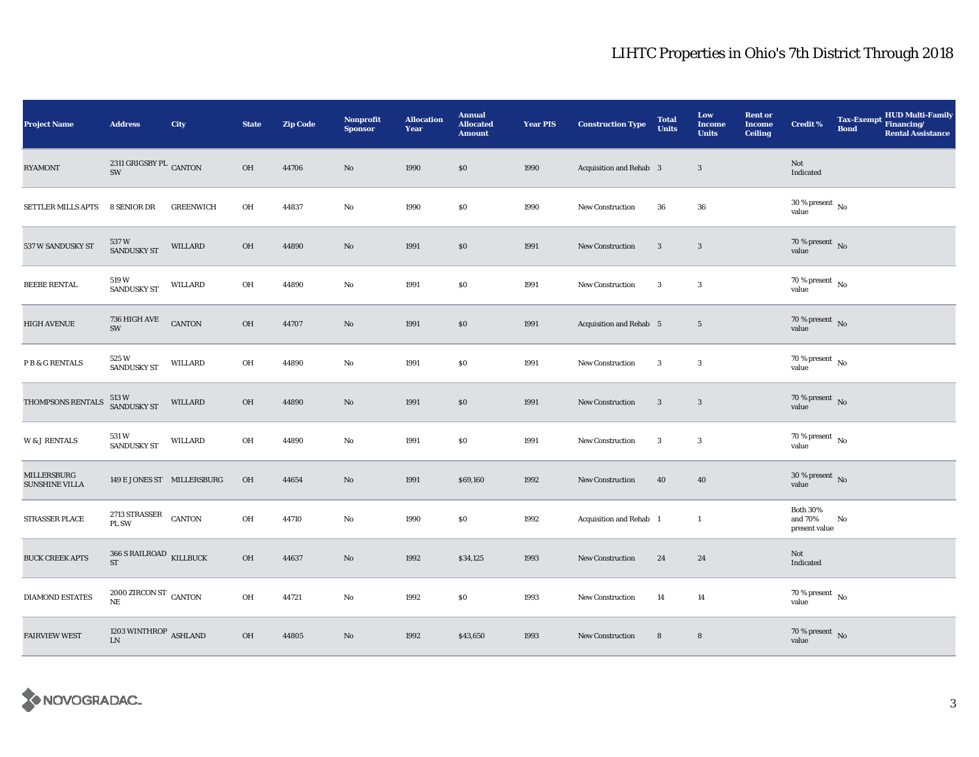| <b>Project Name</b>                  | <b>Address</b>                                | City             | <b>State</b> | <b>Zip Code</b> | <b>Nonprofit</b><br><b>Sponsor</b> | <b>Allocation</b><br>Year | <b>Annual</b><br><b>Allocated</b><br><b>Amount</b> | <b>Year PIS</b> | <b>Construction Type</b> | <b>Total</b><br><b>Units</b> | Low<br><b>Income</b><br><b>Units</b> | <b>Rent or</b><br><b>Income</b><br><b>Ceiling</b> | <b>Credit %</b>                             | <b>Bond</b> | Tax-Exempt HUD Multi-Family<br><b>Rental Assistance</b> |
|--------------------------------------|-----------------------------------------------|------------------|--------------|-----------------|------------------------------------|---------------------------|----------------------------------------------------|-----------------|--------------------------|------------------------------|--------------------------------------|---------------------------------------------------|---------------------------------------------|-------------|---------------------------------------------------------|
| <b>RYAMONT</b>                       | 2311 GRIGSBY PL $\,$ CANTON $\,$<br>SW        |                  | OH           | 44706           | No                                 | 1990                      | \$0                                                | 1990            | Acquisition and Rehab 3  |                              | 3                                    |                                                   | Not<br>Indicated                            |             |                                                         |
| SETTLER MILLS APTS                   | 8 SENIOR DR                                   | <b>GREENWICH</b> | OH           | 44837           | $\mathbf{No}$                      | 1990                      | $\$0$                                              | 1990            | <b>New Construction</b>  | 36                           | 36                                   |                                                   | $30\,\%$ present $\,$ No value              |             |                                                         |
| 537 W SANDUSKY ST                    | 537 W<br>SANDUSKY ST                          | WILLARD          | OH           | 44890           | No                                 | 1991                      | \$0                                                | 1991            | New Construction         | $\mathbf{3}$                 | $\overline{\mathbf{3}}$              |                                                   | $70$ % present $\,$ No value                |             |                                                         |
| <b>BEEBE RENTAL</b>                  | 519 W<br><b>SANDUSKY ST</b>                   | WILLARD          | OH           | 44890           | No                                 | 1991                      | \$0                                                | 1991            | New Construction         | $\mathbf{3}$                 | $\boldsymbol{3}$                     |                                                   | $70$ % present $$\rm{No}$$ value            |             |                                                         |
| <b>HIGH AVENUE</b>                   | 736 HIGH AVE<br>SW                            | <b>CANTON</b>    | OH           | 44707           | No                                 | 1991                      | $\$0$                                              | 1991            | Acquisition and Rehab 5  |                              | $5\phantom{.0}$                      |                                                   | $70$ % present $\,$ No value                |             |                                                         |
| P B & G RENTALS                      | 525 W<br><b>SANDUSKY ST</b>                   | WILLARD          | OH           | 44890           | No                                 | 1991                      | \$0                                                | 1991            | <b>New Construction</b>  | $\mathbf{3}$                 | $\mathbf{3}$                         |                                                   | 70 % present $\,$ No $\,$<br>value          |             |                                                         |
| THOMPSONS RENTALS                    | 513 W<br>SANDUSKY ST                          | WILLARD          | OH           | 44890           | No                                 | 1991                      | \$0                                                | 1991            | New Construction         | 3                            | $\overline{\mathbf{3}}$              |                                                   | $70\,\%$ present $${\rm No}$$ value         |             |                                                         |
| <b>W &amp; J RENTALS</b>             | 531 W<br><b>SANDUSKY ST</b>                   | WILLARD          | OH           | 44890           | No                                 | 1991                      | $\$0$                                              | 1991            | <b>New Construction</b>  | 3                            | $\boldsymbol{3}$                     |                                                   | $70\,\%$ present $\,$ No value              |             |                                                         |
| MILLERSBURG<br><b>SUNSHINE VILLA</b> | 149 E JONES ST MILLERSBURG                    |                  | OH           | 44654           | No                                 | 1991                      | \$69,160                                           | 1992            | New Construction         | 40                           | 40                                   |                                                   | 30 % present $\hbox{~No}$<br>value          |             |                                                         |
| STRASSER PLACE                       | 2713 STRASSER<br>PL SW                        | CANTON           | OH           | 44710           | No                                 | 1990                      | \$0\$                                              | 1992            | Acquisition and Rehab 1  |                              | $\mathbf{1}$                         |                                                   | <b>Both 30%</b><br>and 70%<br>present value | No          |                                                         |
| <b>BUCK CREEK APTS</b>               | 366 S RAILROAD KILLBUCK<br><b>ST</b>          |                  | OH           | 44637           | No                                 | 1992                      | \$34,125                                           | 1993            | New Construction         | 24                           | 24                                   |                                                   | Not<br>Indicated                            |             |                                                         |
| <b>DIAMOND ESTATES</b>               | $2000$ ZIRCON ST $_{\rm{CANTON}}$<br>$\rm NE$ |                  | OH           | 44721           | No                                 | 1992                      | \$0\$                                              | 1993            | <b>New Construction</b>  | 14                           | 14                                   |                                                   | $70$ % present $\,$ No $\,$<br>value        |             |                                                         |
| <b>FAIRVIEW WEST</b>                 | 1203 WINTHROP $\,$ ASHLAND<br>LN              |                  | OH           | 44805           | No                                 | 1992                      | \$43,650                                           | 1993            | <b>New Construction</b>  | $\bf 8$                      | $\bf8$                               |                                                   | $70\,\%$ present $\,$ No value              |             |                                                         |

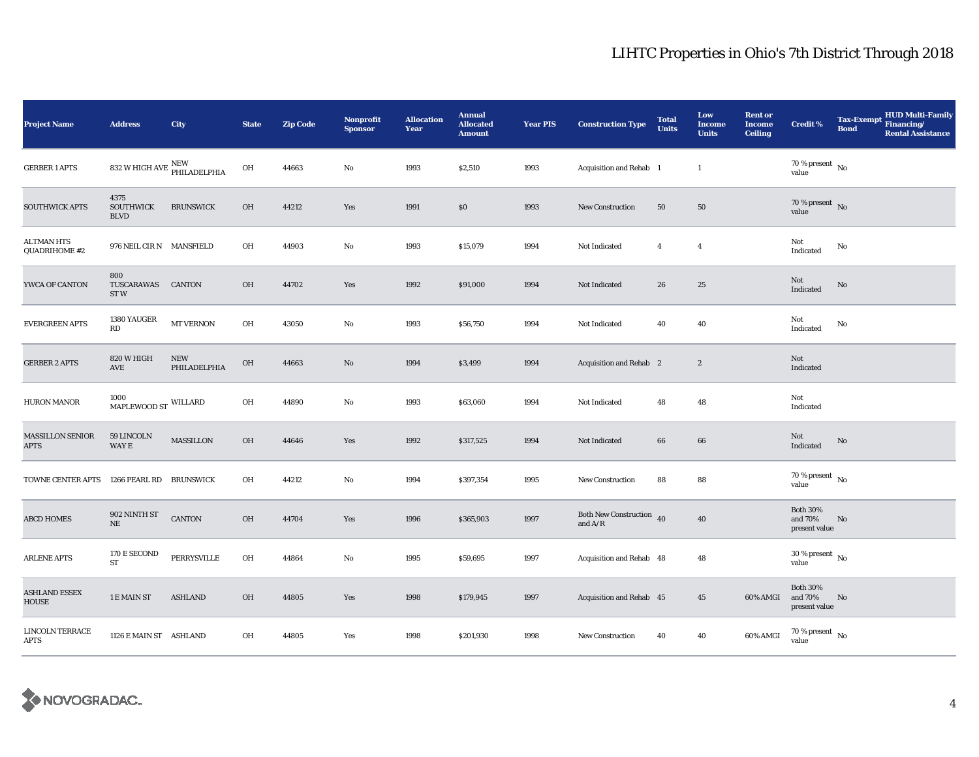| <b>Project Name</b>                       | <b>Address</b>                          | City                                                    | <b>State</b> | <b>Zip Code</b> | <b>Nonprofit</b><br><b>Sponsor</b> | <b>Allocation</b><br>Year | <b>Annual</b><br><b>Allocated</b><br><b>Amount</b> | <b>Year PIS</b> | <b>Construction Type</b>                        | <b>Total</b><br><b>Units</b> | Low<br><b>Income</b><br><b>Units</b> | <b>Rent or</b><br><b>Income</b><br><b>Ceiling</b> | <b>Credit %</b>                             | <b>HUD Multi-Family</b><br>Tax-Exempt Financing/<br><b>Bond</b><br><b>Rental Assistance</b> |
|-------------------------------------------|-----------------------------------------|---------------------------------------------------------|--------------|-----------------|------------------------------------|---------------------------|----------------------------------------------------|-----------------|-------------------------------------------------|------------------------------|--------------------------------------|---------------------------------------------------|---------------------------------------------|---------------------------------------------------------------------------------------------|
| <b>GERBER 1 APTS</b>                      |                                         | 832 W HIGH AVE $\frac{\text{NEW}}{\text{PHILADELPHIA}}$ | OH           | 44663           | $\rm No$                           | 1993                      | \$2,510                                            | 1993            | Acquisition and Rehab 1                         |                              | $\mathbf{1}$                         |                                                   | $70$ % present $$\rm{No}$$ value            |                                                                                             |
| <b>SOUTHWICK APTS</b>                     | 4375<br><b>SOUTHWICK</b><br><b>BLVD</b> | <b>BRUNSWICK</b>                                        | OH           | 44212           | Yes                                | 1991                      | $\$0$                                              | 1993            | <b>New Construction</b>                         | 50                           | 50                                   |                                                   | 70 % present $\,$ No $\,$<br>value          |                                                                                             |
| <b>ALTMAN HTS</b><br>QUADRIHOME #2        | 976 NEIL CIR N MANSFIELD                |                                                         | OH           | 44903           | No                                 | 1993                      | \$15,079                                           | 1994            | Not Indicated                                   | $\overline{4}$               | $\overline{4}$                       |                                                   | Not<br>Indicated                            | No                                                                                          |
| YWCA OF CANTON                            | 800<br>TUSCARAWAS<br>ST <sub>W</sub>    | CANTON                                                  | OH           | 44702           | Yes                                | 1992                      | \$91,000                                           | 1994            | Not Indicated                                   | 26                           | 25                                   |                                                   | Not<br>Indicated                            | No                                                                                          |
| <b>EVERGREEN APTS</b>                     | 1380 YAUGER<br>RD                       | MT VERNON                                               | OH           | 43050           | $\mathbf{No}$                      | 1993                      | \$56,750                                           | 1994            | Not Indicated                                   | 40                           | 40                                   |                                                   | Not<br>Indicated                            | No                                                                                          |
| <b>GERBER 2 APTS</b>                      | 820 W HIGH<br>AVE                       | ${\bf NEW}$<br>PHILADELPHIA                             | OH           | 44663           | $\rm No$                           | 1994                      | \$3,499                                            | 1994            | Acquisition and Rehab 2                         |                              | $\boldsymbol{2}$                     |                                                   | Not<br>Indicated                            |                                                                                             |
| <b>HURON MANOR</b>                        | 1000<br>MAPLEWOOD ST WILLARD            |                                                         | OH           | 44890           | $\mathbf{No}$                      | 1993                      | \$63,060                                           | 1994            | Not Indicated                                   | 48                           | 48                                   |                                                   | Not<br>Indicated                            |                                                                                             |
| <b>MASSILLON SENIOR</b><br>APTS           | 59 LINCOLN<br>WAY E                     | <b>MASSILLON</b>                                        | OH           | 44646           | Yes                                | 1992                      | \$317,525                                          | 1994            | Not Indicated                                   | 66                           | 66                                   |                                                   | Not<br>Indicated                            | No                                                                                          |
| TOWNE CENTER APTS 1266 PEARL RD BRUNSWICK |                                         |                                                         | OH           | 44212           | $\mathbf{No}$                      | 1994                      | \$397,354                                          | 1995            | New Construction                                | 88                           | 88                                   |                                                   | 70 % present $\,$ No $\,$<br>value          |                                                                                             |
| <b>ABCD HOMES</b>                         | 902 NINTH ST<br>$\rm NE$                | <b>CANTON</b>                                           | OH           | 44704           | Yes                                | 1996                      | \$365,903                                          | 1997            | Both New Construction $\,$ 40 $\,$<br>and $A/R$ |                              | 40                                   |                                                   | <b>Both 30%</b><br>and 70%<br>present value | No                                                                                          |
| <b>ARLENE APTS</b>                        | 170 E SECOND<br><b>ST</b>               | PERRYSVILLE                                             | OH           | 44864           | No                                 | 1995                      | \$59,695                                           | 1997            | Acquisition and Rehab 48                        |                              | 48                                   |                                                   | $30$ % present $\,$ No $\,$<br>value        |                                                                                             |
| <b>ASHLAND ESSEX</b><br>HOUSE             | 1 E MAIN ST                             | <b>ASHLAND</b>                                          | $OH$         | 44805           | Yes                                | 1998                      | \$179,945                                          | 1997            | Acquisition and Rehab 45                        |                              | 45                                   | 60% AMGI                                          | <b>Both 30%</b><br>and 70%<br>present value | No                                                                                          |
| <b>LINCOLN TERRACE</b><br><b>APTS</b>     | 1126 E MAIN ST ASHLAND                  |                                                         | OH           | 44805           | Yes                                | 1998                      | \$201,930                                          | 1998            | <b>New Construction</b>                         | 40                           | 40                                   | 60% AMGI                                          | $70\,\%$ present $\,$ No value              |                                                                                             |

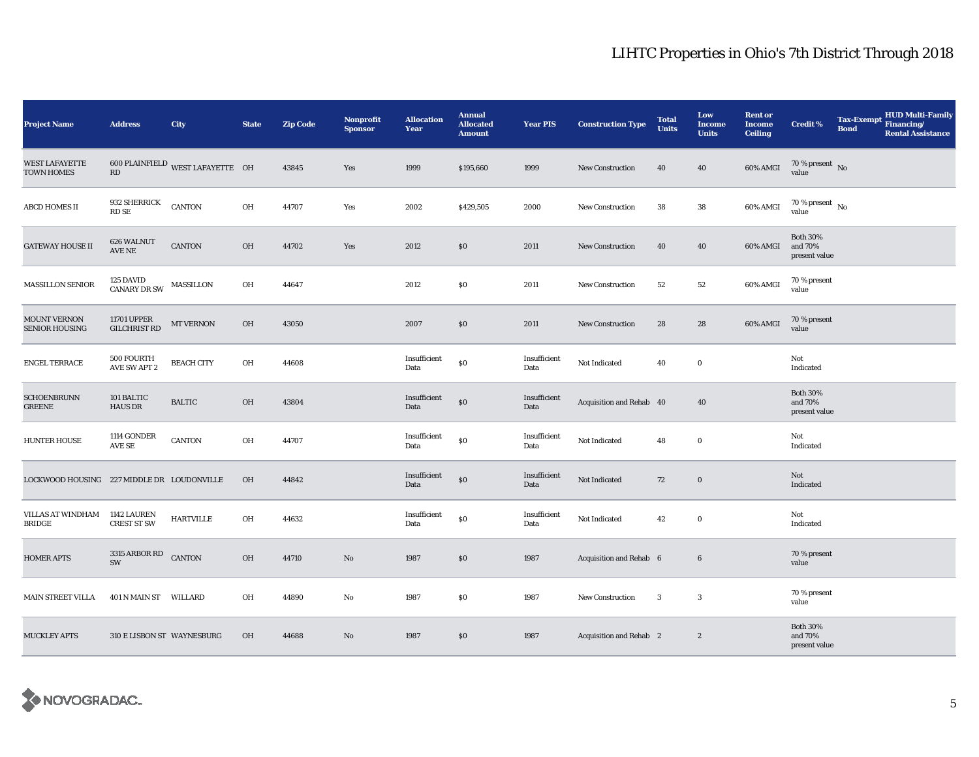| <b>Project Name</b>                          | <b>Address</b>                            | City                                    | <b>State</b> | <b>Zip Code</b> | <b>Nonprofit</b><br><b>Sponsor</b> | <b>Allocation</b><br>Year | <b>Annual</b><br><b>Allocated</b><br><b>Amount</b> | <b>Year PIS</b>      | <b>Construction Type</b> | <b>Total</b><br><b>Units</b> | Low<br><b>Income</b><br><b>Units</b> | <b>Rent or</b><br><b>Income</b><br><b>Ceiling</b> | Credit %                                    | <b>Bond</b> | HUD Multi-Family<br>Tax-Exempt Financing/<br><b>Rental Assistance</b> |
|----------------------------------------------|-------------------------------------------|-----------------------------------------|--------------|-----------------|------------------------------------|---------------------------|----------------------------------------------------|----------------------|--------------------------|------------------------------|--------------------------------------|---------------------------------------------------|---------------------------------------------|-------------|-----------------------------------------------------------------------|
| <b>WEST LAFAYETTE</b><br><b>TOWN HOMES</b>   | $\mathbf{R}\mathbf{D}$                    | $600$ PLAINFIELD WEST LAFAYETTE $\;$ OH |              | 43845           | Yes                                | 1999                      | \$195,660                                          | 1999                 | <b>New Construction</b>  | 40                           | 40                                   | 60% AMGI                                          | $70$ % present $$\rm \, No$$ value          |             |                                                                       |
| <b>ABCD HOMES II</b>                         | 932 SHERRICK<br>RD SE                     | <b>CANTON</b>                           | OH           | 44707           | Yes                                | 2002                      | \$429,505                                          | 2000                 | <b>New Construction</b>  | 38                           | 38                                   | 60% AMGI                                          | $70$ % present $\,$ No $\,$<br>value        |             |                                                                       |
| <b>GATEWAY HOUSE II</b>                      | 626 WALNUT<br>AVE NE                      | <b>CANTON</b>                           | OH           | 44702           | Yes                                | 2012                      | \$0                                                | 2011                 | <b>New Construction</b>  | 40                           | 40                                   | 60% AMGI                                          | <b>Both 30%</b><br>and 70%<br>present value |             |                                                                       |
| <b>MASSILLON SENIOR</b>                      | 125 DAVID<br>CANARY DR SW                 | MASSILLON                               | OH           | 44647           |                                    | 2012                      | \$0                                                | 2011                 | <b>New Construction</b>  | 52                           | 52                                   | 60% AMGI                                          | 70 % present<br>value                       |             |                                                                       |
| <b>MOUNT VERNON</b><br><b>SENIOR HOUSING</b> | <b>11701 UPPER</b><br><b>GILCHRIST RD</b> | MT VERNON                               | OH           | 43050           |                                    | 2007                      | \$0                                                | 2011                 | <b>New Construction</b>  | 28                           | 28                                   | 60% AMGI                                          | 70 % present<br>value                       |             |                                                                       |
| <b>ENGEL TERRACE</b>                         | 500 FOURTH<br><b>AVE SW APT 2</b>         | <b>BEACH CITY</b>                       | OH           | 44608           |                                    | Insufficient<br>Data      | $\$0$                                              | Insufficient<br>Data | Not Indicated            | 40                           | $\bf{0}$                             |                                                   | Not<br>Indicated                            |             |                                                                       |
| <b>SCHOENBRUNN</b><br><b>GREENE</b>          | 101 BALTIC<br><b>HAUS DR</b>              | <b>BALTIC</b>                           | OH           | 43804           |                                    | Insufficient<br>Data      | $\$0$                                              | Insufficient<br>Data | Acquisition and Rehab 40 |                              | 40                                   |                                                   | <b>Both 30%</b><br>and 70%<br>present value |             |                                                                       |
| <b>HUNTER HOUSE</b>                          | 1114 GONDER<br>$\operatorname{AVE}$ SE    | CANTON                                  | OH           | 44707           |                                    | Insufficient<br>Data      | $\$0$                                              | Insufficient<br>Data | Not Indicated            | 48                           | $\bf{0}$                             |                                                   | Not<br>Indicated                            |             |                                                                       |
| LOCKWOOD HOUSING 227 MIDDLE DR LOUDONVILLE   |                                           |                                         | OH           | 44842           |                                    | Insufficient<br>Data      | \$0                                                | Insufficient<br>Data | Not Indicated            | 72                           | $\boldsymbol{0}$                     |                                                   | Not<br>Indicated                            |             |                                                                       |
| VILLAS AT WINDHAM<br><b>BRIDGE</b>           | 1142 LAUREN<br><b>CREST ST SW</b>         | <b>HARTVILLE</b>                        | OH           | 44632           |                                    | Insufficient<br>Data      | $\$0$                                              | Insufficient<br>Data | Not Indicated            | 42                           | $\bf{0}$                             |                                                   | Not<br>Indicated                            |             |                                                                       |
| <b>HOMER APTS</b>                            | 3315 ARBOR RD CANTON<br>SW                |                                         | OH           | 44710           | No                                 | 1987                      | \$0                                                | 1987                 | Acquisition and Rehab 6  |                              | $6\phantom{.0}$                      |                                                   | 70 % present<br>value                       |             |                                                                       |
| <b>MAIN STREET VILLA</b>                     | 401 N MAIN ST WILLARD                     |                                         | OH           | 44890           | No                                 | 1987                      | \$0                                                | 1987                 | New Construction         | 3                            | $\mathbf{3}$                         |                                                   | 70 % present<br>value                       |             |                                                                       |
| <b>MUCKLEY APTS</b>                          | 310 E LISBON ST WAYNESBURG                |                                         | OH           | 44688           | No                                 | 1987                      | \$0                                                | 1987                 | Acquisition and Rehab 2  |                              | $\boldsymbol{2}$                     |                                                   | <b>Both 30%</b><br>and 70%<br>present value |             |                                                                       |

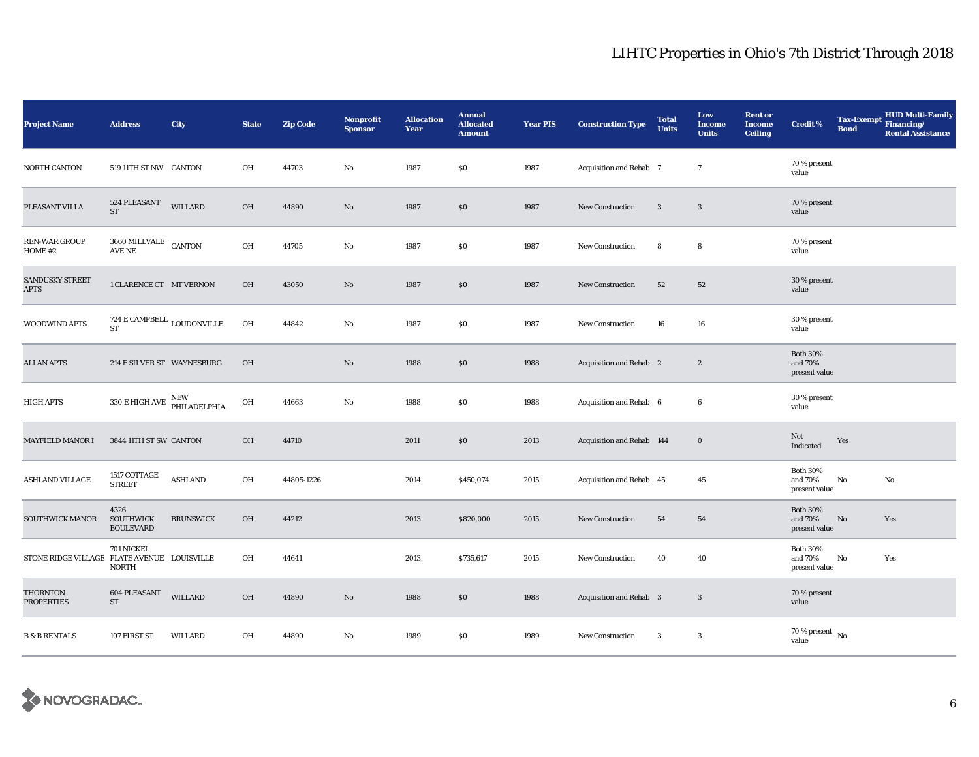| <b>Project Name</b>                         | <b>Address</b>                                              | City             | <b>State</b> | <b>Zip Code</b> | <b>Nonprofit</b><br><b>Sponsor</b> | <b>Allocation</b><br>Year | <b>Annual</b><br><b>Allocated</b><br><b>Amount</b> | <b>Year PIS</b> | <b>Construction Type</b>  | <b>Total</b><br><b>Units</b> | Low<br><b>Income</b><br><b>Units</b> | <b>Rent or</b><br><b>Income</b><br><b>Ceiling</b> | <b>Credit %</b>                             | <b>Tax-Exempt</b><br><b>Bond</b> | <b>HUD Multi-Family</b><br>Financing/<br><b>Rental Assistance</b> |
|---------------------------------------------|-------------------------------------------------------------|------------------|--------------|-----------------|------------------------------------|---------------------------|----------------------------------------------------|-----------------|---------------------------|------------------------------|--------------------------------------|---------------------------------------------------|---------------------------------------------|----------------------------------|-------------------------------------------------------------------|
| NORTH CANTON                                | 519 11TH ST NW CANTON                                       |                  | OH           | 44703           | No                                 | 1987                      | \$0                                                | 1987            | Acquisition and Rehab 7   |                              | $\tau$                               |                                                   | 70 % present<br>value                       |                                  |                                                                   |
| PLEASANT VILLA                              | 524 PLEASANT<br><b>ST</b>                                   | <b>WILLARD</b>   | OH           | 44890           | No                                 | 1987                      | $\$0$                                              | 1987            | <b>New Construction</b>   | 3                            | $\mathbf{3}$                         |                                                   | 70 % present<br>value                       |                                  |                                                                   |
| <b>REN-WAR GROUP</b><br>HOME #2             | $3660\,\, \rm{MILLVALE}$ $\,$ CANTON<br>AVE NE              |                  | OH           | 44705           | No                                 | 1987                      | \$0                                                | 1987            | New Construction          | 8                            | 8                                    |                                                   | 70 % present<br>value                       |                                  |                                                                   |
| SANDUSKY STREET<br><b>APTS</b>              | 1 CLARENCE CT MT VERNON                                     |                  | OH           | 43050           | $\mathbf{N}\mathbf{o}$             | 1987                      | \$0                                                | 1987            | <b>New Construction</b>   | 52                           | 52                                   |                                                   | 30 % present<br>value                       |                                  |                                                                   |
| WOODWIND APTS                               | 724 E CAMPBELL $_{\rm LOUDONVILLE}$<br><b>ST</b>            |                  | OH           | 44842           | No                                 | 1987                      | \$0                                                | 1987            | New Construction          | 16                           | 16                                   |                                                   | 30 % present<br>value                       |                                  |                                                                   |
| <b>ALLAN APTS</b>                           | 214 E SILVER ST WAYNESBURG                                  |                  | OH           |                 | $\mathbf{N}\mathbf{o}$             | 1988                      | \$0                                                | 1988            | Acquisition and Rehab 2   |                              | $\boldsymbol{2}$                     |                                                   | <b>Both 30%</b><br>and 70%<br>present value |                                  |                                                                   |
| <b>HIGH APTS</b>                            | $330\,\mathrm{E}\,\mathrm{HIGH}\,\mathrm{AVE}$ PHILADELPHIA |                  | OH           | 44663           | $\mathbf{No}$                      | 1988                      | \$0                                                | 1988            | Acquisition and Rehab 6   |                              | $\boldsymbol{6}$                     |                                                   | 30 % present<br>value                       |                                  |                                                                   |
| <b>MAYFIELD MANOR I</b>                     | 3844 11TH ST SW CANTON                                      |                  | OH           | 44710           |                                    | 2011                      | \$0                                                | 2013            | Acquisition and Rehab 144 |                              | $\bf{0}$                             |                                                   | Not<br>Indicated                            | Yes                              |                                                                   |
| <b>ASHLAND VILLAGE</b>                      | 1517 COTTAGE<br><b>STREET</b>                               | <b>ASHLAND</b>   | OH           | 44805-1226      |                                    | 2014                      | \$450,074                                          | 2015            | Acquisition and Rehab 45  |                              | 45                                   |                                                   | <b>Both 30%</b><br>and 70%<br>present value | $\rm No$                         | No                                                                |
| <b>SOUTHWICK MANOR</b>                      | 4326<br><b>SOUTHWICK</b><br><b>BOULEVARD</b>                | <b>BRUNSWICK</b> | OH           | 44212           |                                    | 2013                      | \$820,000                                          | 2015            | New Construction          | 54                           | 54                                   |                                                   | <b>Both 30%</b><br>and 70%<br>present value | No                               | Yes                                                               |
| STONE RIDGE VILLAGE PLATE AVENUE LOUISVILLE | 701 NICKEL<br><b>NORTH</b>                                  |                  | OH           | 44641           |                                    | 2013                      | \$735,617                                          | 2015            | <b>New Construction</b>   | 40                           | 40                                   |                                                   | <b>Both 30%</b><br>and 70%<br>present value | No                               | Yes                                                               |
| <b>THORNTON</b><br><b>PROPERTIES</b>        | 604 PLEASANT<br>ST                                          | <b>WILLARD</b>   | OH           | 44890           | $\mathbf{N}\mathbf{o}$             | 1988                      | $\$0$                                              | 1988            | Acquisition and Rehab 3   |                              | $\mathbf{3}$                         |                                                   | 70 % present<br>value                       |                                  |                                                                   |
| <b>B &amp; B RENTALS</b>                    | 107 FIRST ST                                                | WILLARD          | OH           | 44890           | $\mathbf{No}$                      | 1989                      | \$0                                                | 1989            | New Construction          | $\overline{3}$               | $\mathbf{3}$                         |                                                   | $70$ % present $\,$ No $\,$<br>value        |                                  |                                                                   |

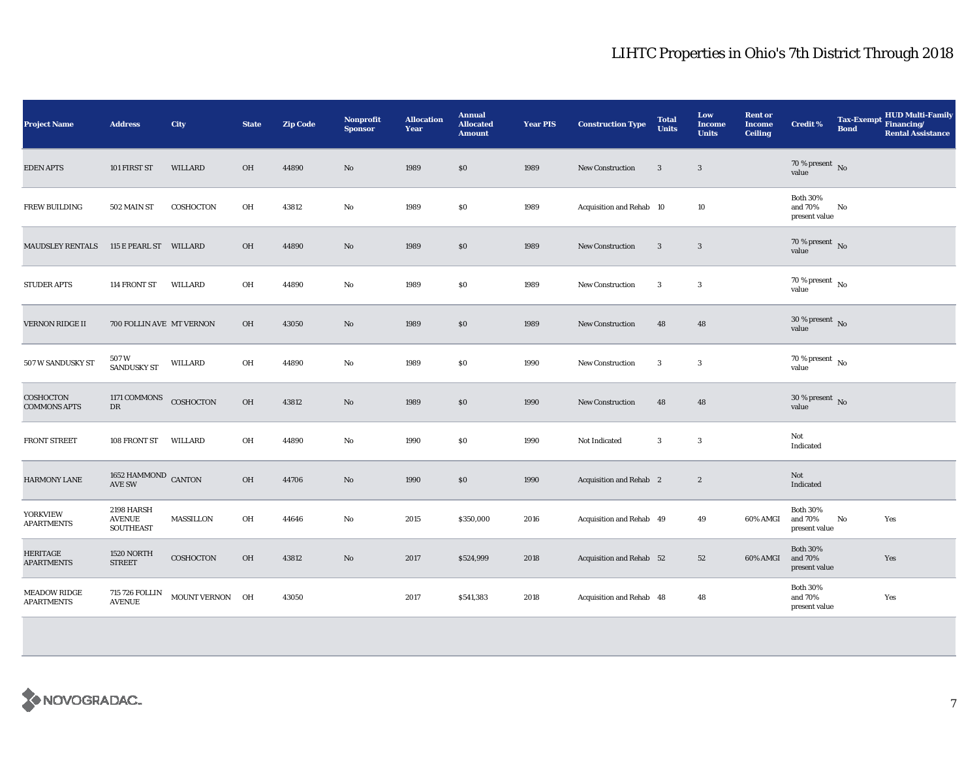| <b>Project Name</b>                      | <b>Address</b>                                  | <b>City</b>      | <b>State</b> | <b>Zip Code</b> | Nonprofit<br><b>Sponsor</b> | <b>Allocation</b><br><b>Year</b> | <b>Annual</b><br><b>Allocated</b><br><b>Amount</b> | <b>Year PIS</b> | <b>Construction Type</b>       | <b>Total</b><br><b>Units</b> | Low<br><b>Income</b><br><b>Units</b> | <b>Rent or</b><br><b>Income</b><br><b>Ceiling</b> | <b>Credit %</b>                             | <b>Tax-Exempt</b><br><b>Bond</b> | <b>HUD Multi-Family</b><br>Financing/<br><b>Rental Assistance</b> |
|------------------------------------------|-------------------------------------------------|------------------|--------------|-----------------|-----------------------------|----------------------------------|----------------------------------------------------|-----------------|--------------------------------|------------------------------|--------------------------------------|---------------------------------------------------|---------------------------------------------|----------------------------------|-------------------------------------------------------------------|
| <b>EDEN APTS</b>                         | 101 FIRST ST                                    | <b>WILLARD</b>   | OH           | 44890           | No                          | 1989                             | \$0                                                | 1989            | <b>New Construction</b>        | 3                            | $\mathbf{3}$                         |                                                   | 70 % present $\hbox{~No}$<br>value          |                                  |                                                                   |
| <b>FREW BUILDING</b>                     | 502 MAIN ST                                     | COSHOCTON        | OH           | 43812           | No                          | 1989                             | \$0                                                | 1989            | Acquisition and Rehab 10       |                              | 10                                   |                                                   | <b>Both 30%</b><br>and 70%<br>present value | No                               |                                                                   |
| <b>MAUDSLEY RENTALS</b>                  | 115 E PEARL ST WILLARD                          |                  | OH           | 44890           | No                          | 1989                             | \$0                                                | 1989            | <b>New Construction</b>        | 3                            | $\mathbf{3}$                         |                                                   | $70$ % present $\,$ No value                |                                  |                                                                   |
| <b>STUDER APTS</b>                       | 114 FRONT ST                                    | WILLARD          | OH           | 44890           | No                          | 1989                             | \$0                                                | 1989            | New Construction               | 3                            | $\sqrt{3}$                           |                                                   | $70$ % present $\,$ No $\,$<br>value        |                                  |                                                                   |
| <b>VERNON RIDGE II</b>                   | 700 FOLLIN AVE MT VERNON                        |                  | OH           | 43050           | No                          | 1989                             | \$0                                                | 1989            | <b>New Construction</b>        | 48                           | 48                                   |                                                   | $30$ % present $\,$ No value                |                                  |                                                                   |
| 507 W SANDUSKY ST                        | 507W<br>SANDUSKY ST                             | WILLARD          | OH           | 44890           | No                          | 1989                             | \$0                                                | 1990            | <b>New Construction</b>        | 3                            | 3                                    |                                                   | $70\,\%$ present $\,$ No value              |                                  |                                                                   |
| COSHOCTON<br><b>COMMONS APTS</b>         | 1171 COMMONS<br>${\rm DR}$                      | COSHOCTON        | OH           | 43812           | No                          | 1989                             | \$0                                                | 1990            | <b>New Construction</b>        | 48                           | 48                                   |                                                   | 30 % present $\,$ No $\,$<br>value          |                                  |                                                                   |
| <b>FRONT STREET</b>                      | 108 FRONT ST                                    | WILLARD          | OH           | 44890           | No                          | 1990                             | \$0                                                | 1990            | Not Indicated                  | $\mathbf{3}$                 | $\boldsymbol{3}$                     |                                                   | Not<br>Indicated                            |                                  |                                                                   |
| <b>HARMONY LANE</b>                      | $1652$ HAMMOND $\,$ CANTON AVE SW               |                  | OH           | 44706           | No                          | 1990                             | $\$0$                                              | 1990            | <b>Acquisition and Rehab</b> 2 |                              | $\boldsymbol{2}$                     |                                                   | Not<br>Indicated                            |                                  |                                                                   |
| <b>YORKVIEW</b><br><b>APARTMENTS</b>     | 2198 HARSH<br><b>AVENUE</b><br><b>SOUTHEAST</b> | MASSILLON        | OH           | 44646           | No                          | 2015                             | \$350,000                                          | 2016            | Acquisition and Rehab 49       |                              | 49                                   | 60% AMGI                                          | <b>Both 30%</b><br>and 70%<br>present value | No                               | Yes                                                               |
| <b>HERITAGE</b><br><b>APARTMENTS</b>     | 1520 NORTH<br><b>STREET</b>                     | <b>COSHOCTON</b> | OH           | 43812           | No                          | 2017                             | \$524,999                                          | 2018            | Acquisition and Rehab 52       |                              | 52                                   | 60% AMGI                                          | <b>Both 30%</b><br>and 70%<br>present value |                                  | Yes                                                               |
| <b>MEADOW RIDGE</b><br><b>APARTMENTS</b> | 715 726 FOLLIN<br><b>AVENUE</b>                 | MOUNT VERNON OH  |              | 43050           |                             | 2017                             | \$541,383                                          | 2018            | Acquisition and Rehab 48       |                              | 48                                   |                                                   | <b>Both 30%</b><br>and 70%<br>present value |                                  | Yes                                                               |